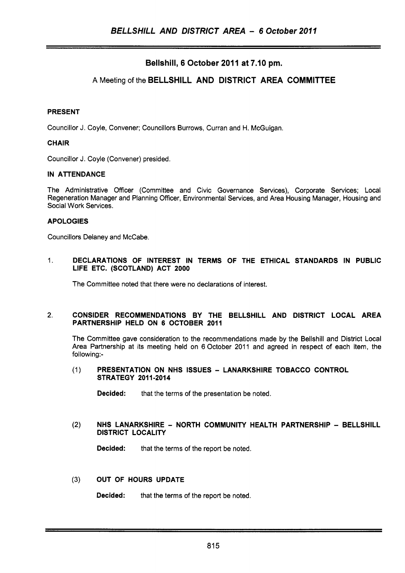# Bellshill, 6 October 2011 at 7.10 pm.

# **A** Meeting of the BELLSHILL AND DISTRICT AREA COMMITTEE

## PRESENT

Councillor J. Coyle, Convener; Councillors Burrows, Curran and H. McGuigan.

### CHAIR

Councillor J. Coyle (Convener) presided.

## IN ATTENDANCE

The Administrative Officer (Committee and Civic Governance Services), Corporate Services; Local Regeneration Manager and Planning Officer, Environmental Services, and Area Housing Manager, Housing and Social Work Services.

### APOLOGIES

Councillors Delaney and McCabe.

### 1. DECLARATIONS OF INTEREST IN TERMS OF THE ETHICAL STANDARDS IN PUBLIC LIFE ETC. (SCOTLAND) ACT **2000**

The Committee noted that there were no declarations of interest.

### 2. CONSIDER RECOMMENDATIONS BY THE BELLSHILL AND DISTRICT LOCAL AREA PARTNERSHIP HELD ON 6 OCTOBER **2011**

The Committee gave consideration to the recommendations made by the Bellshill and District Local Area Partnership at its meeting held on 6 October 2011 and agreed in respect of each item, the following:-

### (1) PRESENTATION ON NHS ISSUES - LANARKSHIRE TOBACCO CONTROL STRATEGY **201 1-2014**

**Decided:** that the terms of the presentation be noted.

### (2) NHS LANARKSHIRE - NORTH COMMUNITY HEALTH PARTNERSHIP - BELLSHILL DISTRICT LOCALITY

**Decided:** that the terms of the report be noted.

### **(3)** OUT OF HOURS UPDATE

Decided: that the terms of the report be noted.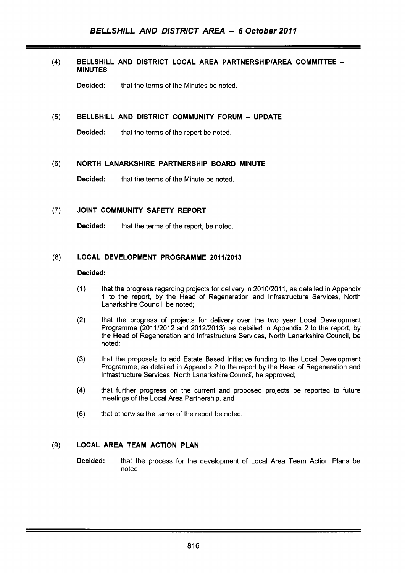### $(4)$ **BELLSHILL AND DISTRICT LOCAL AREA PARTNERSHlPlAREA COMMITTEE** - **MINUTES**

**Decided:** that the terms of the Minutes be noted.

### **BELLSHILL AND DISTRICT COMMUNITY FORUM** - **UPDATE**   $(5)$

**Decided:** that the terms of the report be noted.

### $(6)$ **NORTH LANARKSHIRE PARTNERSHIP BOARD MINUTE**

**Decided:** that the terms of the Minute be noted.

#### **JOINT COMMUNITY SAFETY REPORT**   $(7)$

**Decided:** that the terms of the report, be noted.

## (8) LOCAL DEVELOPMENT PROGRAMME 2011/2013

### **Decided:**

- $(1)$ that the progress regarding projects for delivery in 201 0/2011, as detailed in Appendix 1 to the report, by the Head of Regeneration and Infrastructure Services, North Lanarkshire Council, be noted;
- $(2)$ that the progress of projects for delivery over the two year Local Development Programme (2011/2012 and 2012/2013), as detailed in Appendix 2 to the report, by the Head of Regeneration and Infrastructure Services, North Lanarkshire Council, be noted:
- $(3)$ that the proposals to add Estate Based Initiative funding to the Local Development Programme, as detailed in Appendix 2 to the report by the Head of Regeneration and Infrastructure Services, North Lanarkshire Council, be approved;
- $(4)$ that further progress on the current and proposed projects be reported to future meetings of the Local Area Partnership, and
- $(5)$ that otherwise the terms of the report be noted.

## **(9) LOCAL AREA TEAM ACTION PLAN**

**Decided:** that the process for the development of Local Area Team Action Plans be noted.